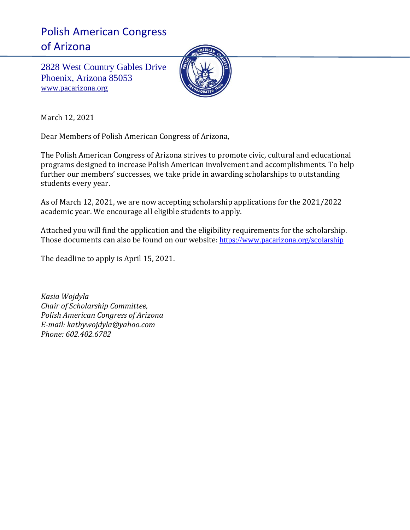# Polish American Congress of Arizona

2828 West Country Gables Drive Phoenix, Arizona 85053 [www.pacarizona.org](http://www.pacarizona.org/)



March 12, 2021

Dear Members of Polish American Congress of Arizona,

The Polish American Congress of Arizona strives to promote civic, cultural and educational programs designed to increase Polish American involvement and accomplishments. To help further our members' successes, we take pride in awarding scholarships to outstanding students every year.

As of March 12, 2021, we are now accepting scholarship applications for the 2021/2022 academic year. We encourage all eligible students to apply.

Attached you will find the application and the eligibility requirements for the scholarship. Those documents can also be found on our website: <https://www.pacarizona.org/scolarship>

The deadline to apply is April 15, 2021.

*Kasia Wojdyla Chair of Scholarship Committee, Polish American Congress of Arizona E-mail: kathywojdyla@yahoo.com Phone: 602.402.6782*